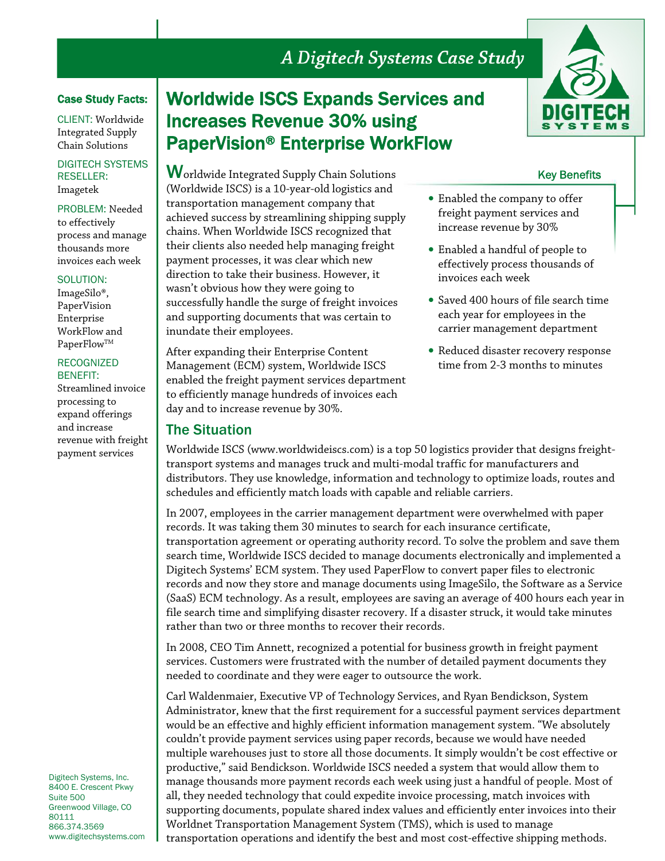# A Digitech Systems Case Study

### Case Study Facts:

CLIENT: Worldwide Integrated Supply Chain Solutions

DIGITECH SYSTEMS RESELLER: Imagetek

PROBLEM: Needed to effectively process and manage thousands more invoices each week

#### SOLUTION:

ImageSilo®, PaperVision Enterprise WorkFlow and PaperFlow™

### RECOGNIZED BENEFIT:

Streamlined invoice processing to expand offerings and increase revenue with freight payment services

Digitech Systems, Inc. 8400 E. Crescent Pkwy Suite 500 Greenwood Village, CO 80111 866.374.3569 www.digitechsystems.com

# Worldwide ISCS Expands Services and Increases Revenue 30% using PaperVision® Enterprise WorkFlow

**W**orldwide Integrated Supply Chain Solutions (Worldwide ISCS) is a 10-year-old logistics and transportation management company that achieved success by streamlining shipping supply chains. When Worldwide ISCS recognized that their clients also needed help managing freight payment processes, it was clear which new direction to take their business. However, it wasn't obvious how they were going to successfully handle the surge of freight invoices and supporting documents that was certain to inundate their employees.

After expanding their Enterprise Content Management (ECM) system, Worldwide ISCS enabled the freight payment services department to efficiently manage hundreds of invoices each day and to increase revenue by 30%.

# The Situation



- Enabled a handful of people to effectively process thousands of invoices each week
- Saved 400 hours of file search time each year for employees in the carrier management department
- Reduced disaster recovery response time from 2-3 months to minutes

Worldwide ISCS (www.worldwideiscs.com) is a top 50 logistics provider that designs freighttransport systems and manages truck and multi-modal traffic for manufacturers and distributors. They use knowledge, information and technology to optimize loads, routes and schedules and efficiently match loads with capable and reliable carriers.

In 2007, employees in the carrier management department were overwhelmed with paper records. It was taking them 30 minutes to search for each insurance certificate, transportation agreement or operating authority record. To solve the problem and save them search time, Worldwide ISCS decided to manage documents electronically and implemented a Digitech Systems' ECM system. They used PaperFlow to convert paper files to electronic records and now they store and manage documents using ImageSilo, the Software as a Service (SaaS) ECM technology. As a result, employees are saving an average of 400 hours each year in file search time and simplifying disaster recovery. If a disaster struck, it would take minutes rather than two or three months to recover their records.

In 2008, CEO Tim Annett, recognized a potential for business growth in freight payment services. Customers were frustrated with the number of detailed payment documents they needed to coordinate and they were eager to outsource the work.

Carl Waldenmaier, Executive VP of Technology Services, and Ryan Bendickson, System Administrator, knew that the first requirement for a successful payment services department would be an effective and highly efficient information management system. "We absolutely couldn't provide payment services using paper records, because we would have needed multiple warehouses just to store all those documents. It simply wouldn't be cost effective or productive," said Bendickson. Worldwide ISCS needed a system that would allow them to manage thousands more payment records each week using just a handful of people. Most of all, they needed technology that could expedite invoice processing, match invoices with supporting documents, populate shared index values and efficiently enter invoices into their Worldnet Transportation Management System (TMS), which is used to manage transportation operations and identify the best and most cost-effective shipping methods.